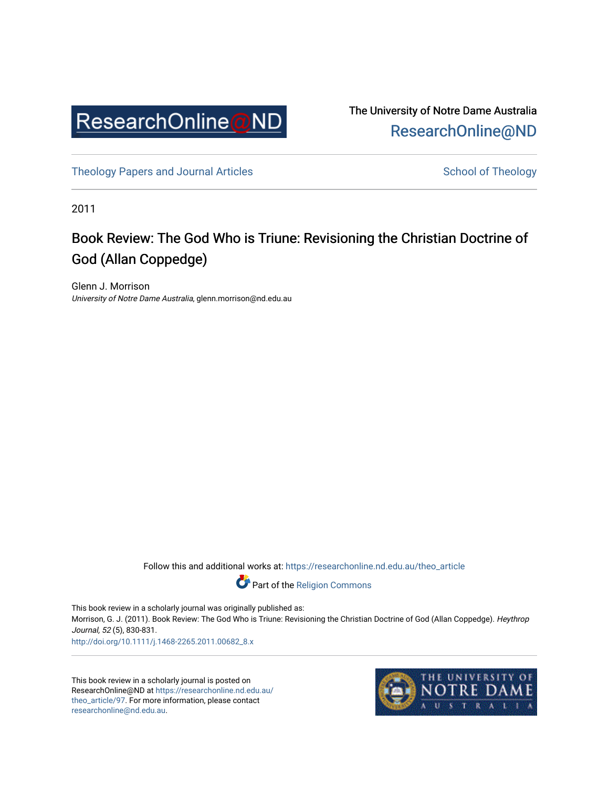

The University of Notre Dame Australia [ResearchOnline@ND](https://researchonline.nd.edu.au/) 

[Theology Papers and Journal Articles](https://researchonline.nd.edu.au/theo_article) and [School of Theology](https://researchonline.nd.edu.au/theo) School of Theology

2011

## Book Review: The God Who is Triune: Revisioning the Christian Doctrine of God (Allan Coppedge)

Glenn J. Morrison University of Notre Dame Australia, glenn.morrison@nd.edu.au

Follow this and additional works at: [https://researchonline.nd.edu.au/theo\\_article](https://researchonline.nd.edu.au/theo_article?utm_source=researchonline.nd.edu.au%2Ftheo_article%2F97&utm_medium=PDF&utm_campaign=PDFCoverPages) 

Part of the [Religion Commons](http://network.bepress.com/hgg/discipline/538?utm_source=researchonline.nd.edu.au%2Ftheo_article%2F97&utm_medium=PDF&utm_campaign=PDFCoverPages) 

This book review in a scholarly journal was originally published as: Morrison, G. J. (2011). Book Review: The God Who is Triune: Revisioning the Christian Doctrine of God (Allan Coppedge). Heythrop Journal, 52 (5), 830-831. [http://doi.org/10.1111/j.1468-2265.2011.00682\\_8.x](http://doi.org/10.1111/j.1468-2265.2011.00682_8.x)

This book review in a scholarly journal is posted on ResearchOnline@ND at [https://researchonline.nd.edu.au/](https://researchonline.nd.edu.au/theo_article/97) [theo\\_article/97.](https://researchonline.nd.edu.au/theo_article/97) For more information, please contact [researchonline@nd.edu.au.](mailto:researchonline@nd.edu.au)

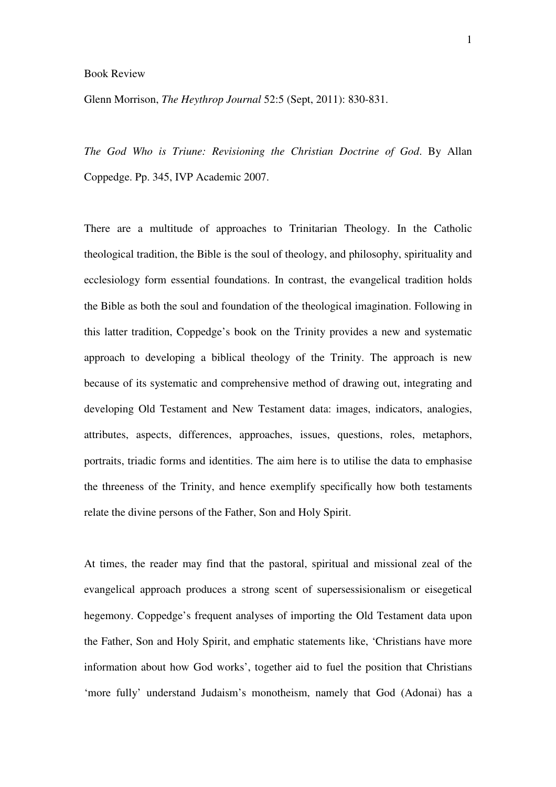## Book Review

Glenn Morrison, *The Heythrop Journal* 52:5 (Sept, 2011): 830-831.

*The God Who is Triune: Revisioning the Christian Doctrine of God*. By Allan Coppedge. Pp. 345, IVP Academic 2007.

There are a multitude of approaches to Trinitarian Theology. In the Catholic theological tradition, the Bible is the soul of theology, and philosophy, spirituality and ecclesiology form essential foundations. In contrast, the evangelical tradition holds the Bible as both the soul and foundation of the theological imagination. Following in this latter tradition, Coppedge's book on the Trinity provides a new and systematic approach to developing a biblical theology of the Trinity. The approach is new because of its systematic and comprehensive method of drawing out, integrating and developing Old Testament and New Testament data: images, indicators, analogies, attributes, aspects, differences, approaches, issues, questions, roles, metaphors, portraits, triadic forms and identities. The aim here is to utilise the data to emphasise the threeness of the Trinity, and hence exemplify specifically how both testaments relate the divine persons of the Father, Son and Holy Spirit.

At times, the reader may find that the pastoral, spiritual and missional zeal of the evangelical approach produces a strong scent of supersessisionalism or eisegetical hegemony. Coppedge's frequent analyses of importing the Old Testament data upon the Father, Son and Holy Spirit, and emphatic statements like, 'Christians have more information about how God works', together aid to fuel the position that Christians 'more fully' understand Judaism's monotheism, namely that God (Adonai) has a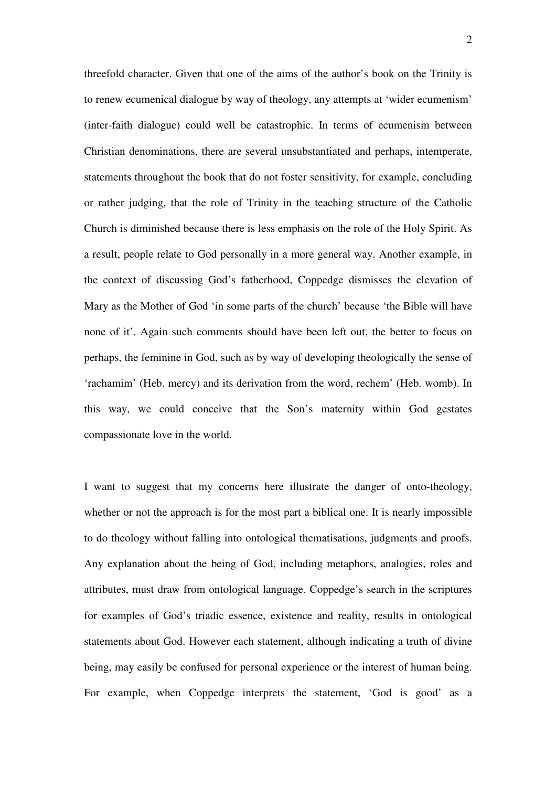threefold character. Given that one of the aims of the author's book on the Trinity is to renew ecumenical dialogue by way of theology, any attempts at 'wider ecumenism' (inter-faith dialogue) could well be catastrophic. In terms of ecumenism between Christian denominations, there are several unsubstantiated and perhaps, intemperate, statements throughout the book that do not foster sensitivity, for example, concluding or rather judging, that the role of Trinity in the teaching structure of the Catholic Church is diminished because there is less emphasis on the role of the Holy Spirit. As a result, people relate to God personally in a more general way. Another example, in the context of discussing God's fatherhood, Coppedge dismisses the elevation of Mary as the Mother of God 'in some parts of the church' because 'the Bible will have none of it'. Again such comments should have been left out, the better to focus on perhaps, the feminine in God, such as by way of developing theologically the sense of 'rachamim' (Heb. mercy) and its derivation from the word, rechem' (Heb. womb). In this way, we could conceive that the Son's maternity within God gestates compassionate love in the world.

I want to suggest that my concerns here illustrate the danger of onto-theology, whether or not the approach is for the most part a biblical one. It is nearly impossible to do theology without falling into ontological thematisations, judgments and proofs. Any explanation about the being of God, including metaphors, analogies, roles and attributes, must draw from ontological language. Coppedge's search in the scriptures for examples of God's triadic essence, existence and reality, results in ontological statements about God. However each statement, although indicating a truth of divine being, may easily be confused for personal experience or the interest of human being. For example, when Coppedge interprets the statement, 'God is good' as a